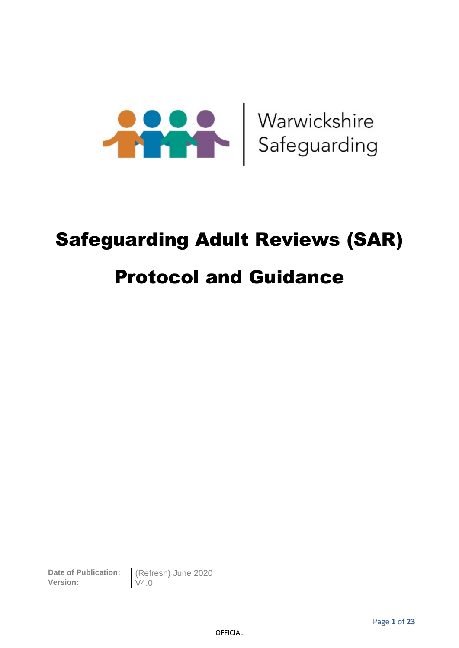

# Safeguarding Adult Reviews (SAR)

# Protocol and Guidance

| <b>Date of Publication:</b> | (Refresh)<br>June 2020 |
|-----------------------------|------------------------|
| Version:                    | - V4.u                 |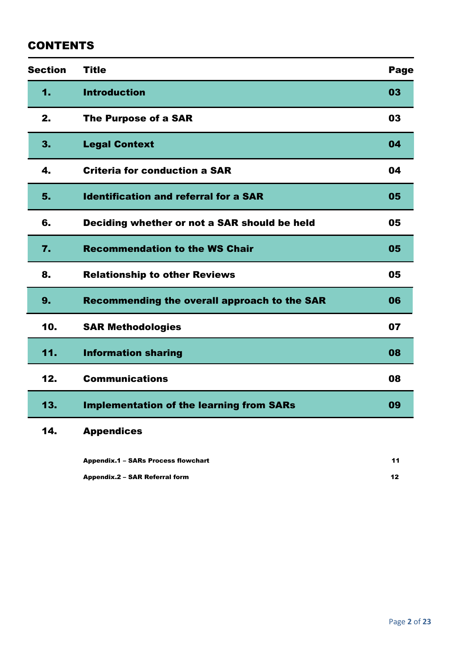### **CONTENTS**

| <b>Section</b>   | <b>Title</b>                                    | <b>Page</b> |
|------------------|-------------------------------------------------|-------------|
| 1.               | <b>Introduction</b>                             | 03          |
| 2.               | <b>The Purpose of a SAR</b>                     | 03          |
| 3.               | <b>Legal Context</b>                            | 04          |
| 4.               | <b>Criteria for conduction a SAR</b>            | 04          |
| 5.               | <b>Identification and referral for a SAR</b>    | 05          |
| 6.               | Deciding whether or not a SAR should be held    | 05          |
| $\overline{7}$ . | <b>Recommendation to the WS Chair</b>           | 05          |
| 8.               | <b>Relationship to other Reviews</b>            | 05          |
| 9.               | Recommending the overall approach to the SAR    | 06          |
| 10.              | <b>SAR Methodologies</b>                        | 07          |
| 11.              | <b>Information sharing</b>                      | 08          |
| 12.              | <b>Communications</b>                           | 08          |
| 13.              | <b>Implementation of the learning from SARs</b> | 09          |
| 14.              | <b>Appendices</b>                               |             |
|                  | <b>Appendix.1 - SARs Process flowchart</b>      | 11          |

Appendix.2 – SAR Referral form 12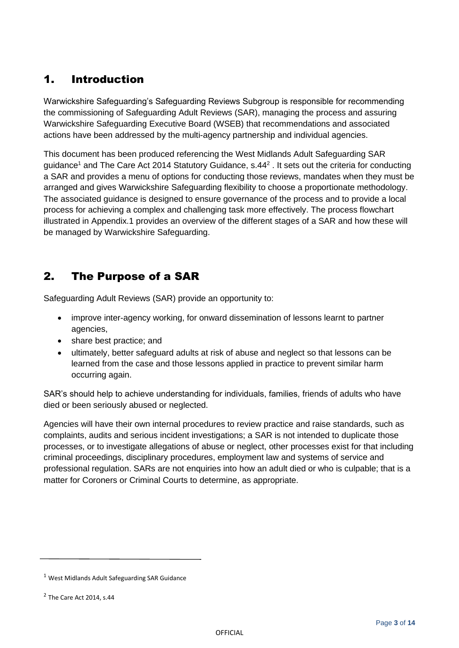# 1. Introduction

Warwickshire Safeguarding's Safeguarding Reviews Subgroup is responsible for recommending the commissioning of Safeguarding Adult Reviews (SAR), managing the process and assuring Warwickshire Safeguarding Executive Board (WSEB) that recommendations and associated actions have been addressed by the multi-agency partnership and individual agencies.

This document has been produced referencing the West Midlands Adult Safeguarding SAR guidance<sup>1</sup> and The Care Act 2014 Statutory Guidance, s.44<sup>2</sup>. It sets out the criteria for conducting a SAR and provides a menu of options for conducting those reviews, mandates when they must be arranged and gives Warwickshire Safeguarding flexibility to choose a proportionate methodology. The associated guidance is designed to ensure governance of the process and to provide a local process for achieving a complex and challenging task more effectively. The process flowchart illustrated in Appendix.1 provides an overview of the different stages of a SAR and how these will be managed by Warwickshire Safeguarding.

# 2. The Purpose of a SAR

Safeguarding Adult Reviews (SAR) provide an opportunity to:

- improve inter-agency working, for onward dissemination of lessons learnt to partner agencies,
- share best practice; and
- ultimately, better safeguard adults at risk of abuse and neglect so that lessons can be learned from the case and those lessons applied in practice to prevent similar harm occurring again.

SAR's should help to achieve understanding for individuals, families, friends of adults who have died or been seriously abused or neglected.

Agencies will have their own internal procedures to review practice and raise standards, such as complaints, audits and serious incident investigations; a SAR is not intended to duplicate those processes, or to investigate allegations of abuse or neglect, other processes exist for that including criminal proceedings, disciplinary procedures, employment law and systems of service and professional regulation. SARs are not enquiries into how an adult died or who is culpable; that is a matter for Coroners or Criminal Courts to determine, as appropriate.

<sup>1</sup> West Midlands Adult Safeguarding SAR Guidance

 $2$  The Care Act 2014, s.44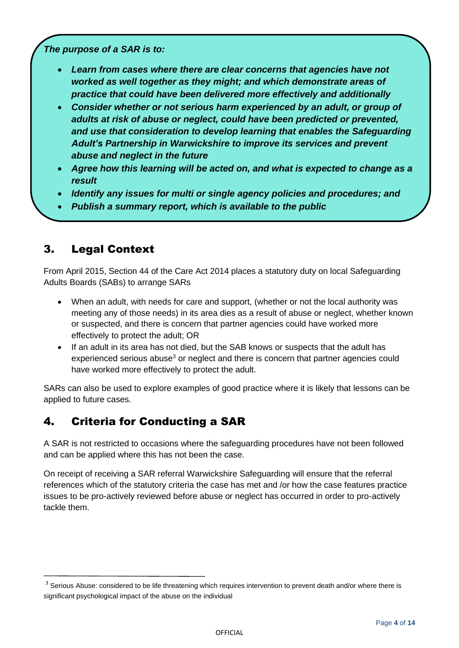*The purpose of a SAR is to:*

- *Learn from cases where there are clear concerns that agencies have not worked as well together as they might; and which demonstrate areas of practice that could have been delivered more effectively and additionally*
- *Consider whether or not serious harm experienced by an adult, or group of adults at risk of abuse or neglect, could have been predicted or prevented, and use that consideration to develop learning that enables the Safeguarding Adult's Partnership in Warwickshire to improve its services and prevent abuse and neglect in the future*
- *Agree how this learning will be acted on, and what is expected to change as a result*
- *Identify any issues for multi or single agency policies and procedures; and*
- *Publish a summary report, which is available to the public*

# 3. Legal Context

From April 2015, Section 44 of the Care Act 2014 places a statutory duty on local Safeguarding Adults Boards (SABs) to arrange SARs

- When an adult, with needs for care and support, (whether or not the local authority was meeting any of those needs) in its area dies as a result of abuse or neglect, whether known or suspected, and there is concern that partner agencies could have worked more effectively to protect the adult; OR
- If an adult in its area has not died, but the SAB knows or suspects that the adult has experienced serious abuse<sup>3</sup> or neglect and there is concern that partner agencies could have worked more effectively to protect the adult.

SARs can also be used to explore examples of good practice where it is likely that lessons can be applied to future cases.

# 4. Criteria for Conducting a SAR

A SAR is not restricted to occasions where the safeguarding procedures have not been followed and can be applied where this has not been the case.

On receipt of receiving a SAR referral Warwickshire Safeguarding will ensure that the referral references which of the statutory criteria the case has met and /or how the case features practice issues to be pro-actively reviewed before abuse or neglect has occurred in order to pro-actively tackle them.

<sup>&</sup>lt;sup>3</sup> Serious Abuse: considered to be life threatening which requires intervention to prevent death and/or where there is significant psychological impact of the abuse on the individual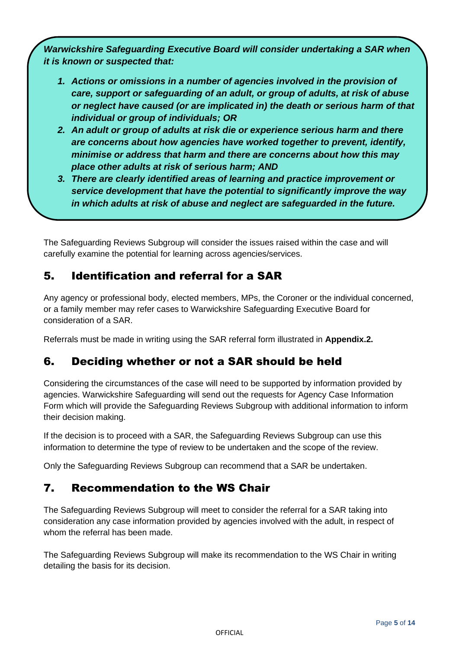*Warwickshire Safeguarding Executive Board will consider undertaking a SAR when it is known or suspected that:*

- *1. Actions or omissions in a number of agencies involved in the provision of care, support or safeguarding of an adult, or group of adults, at risk of abuse or neglect have caused (or are implicated in) the death or serious harm of that individual or group of individuals; OR*
- *2. An adult or group of adults at risk die or experience serious harm and there are concerns about how agencies have worked together to prevent, identify, minimise or address that harm and there are concerns about how this may place other adults at risk of serious harm; AND*
- *3. There are clearly identified areas of learning and practice improvement or service development that have the potential to significantly improve the way in which adults at risk of abuse and neglect are safeguarded in the future.*

The Safeguarding Reviews Subgroup will consider the issues raised within the case and will carefully examine the potential for learning across agencies/services.

# 5. Identification and referral for a SAR

Any agency or professional body, elected members, MPs, the Coroner or the individual concerned, or a family member may refer cases to Warwickshire Safeguarding Executive Board for consideration of a SAR.

Referrals must be made in writing using the SAR referral form illustrated in **Appendix.2.**

### 6. Deciding whether or not a SAR should be held

Considering the circumstances of the case will need to be supported by information provided by agencies. Warwickshire Safeguarding will send out the requests for Agency Case Information Form which will provide the Safeguarding Reviews Subgroup with additional information to inform their decision making.

If the decision is to proceed with a SAR, the Safeguarding Reviews Subgroup can use this information to determine the type of review to be undertaken and the scope of the review.

Only the Safeguarding Reviews Subgroup can recommend that a SAR be undertaken.

### 7. Recommendation to the WS Chair

The Safeguarding Reviews Subgroup will meet to consider the referral for a SAR taking into consideration any case information provided by agencies involved with the adult, in respect of whom the referral has been made.

The Safeguarding Reviews Subgroup will make its recommendation to the WS Chair in writing detailing the basis for its decision.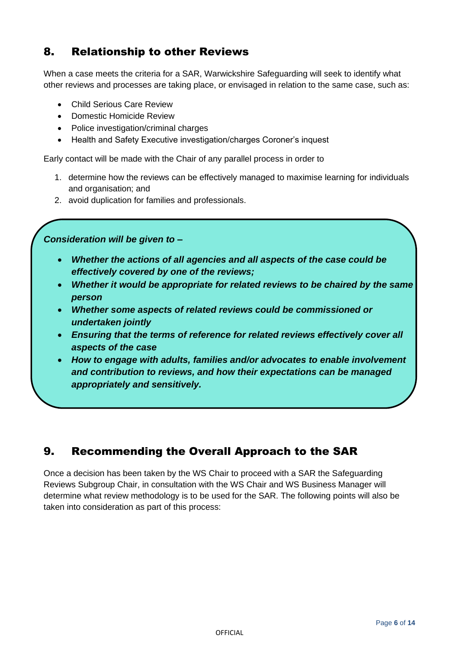### 8. Relationship to other Reviews

When a case meets the criteria for a SAR, Warwickshire Safeguarding will seek to identify what other reviews and processes are taking place, or envisaged in relation to the same case, such as:

- Child Serious Care Review
- Domestic Homicide Review
- Police investigation/criminal charges
- Health and Safety Executive investigation/charges Coroner's inquest

Early contact will be made with the Chair of any parallel process in order to

- 1. determine how the reviews can be effectively managed to maximise learning for individuals and organisation; and
- 2. avoid duplication for families and professionals.

*Consideration will be given to –*

- *Whether the actions of all agencies and all aspects of the case could be effectively covered by one of the reviews;*
- *Whether it would be appropriate for related reviews to be chaired by the same person*
- *Whether some aspects of related reviews could be commissioned or undertaken jointly*
- *Ensuring that the terms of reference for related reviews effectively cover all aspects of the case*
- *How to engage with adults, families and/or advocates to enable involvement and contribution to reviews, and how their expectations can be managed appropriately and sensitively.*

### 9. Recommending the Overall Approach to the SAR

Once a decision has been taken by the WS Chair to proceed with a SAR the Safeguarding Reviews Subgroup Chair, in consultation with the WS Chair and WS Business Manager will determine what review methodology is to be used for the SAR. The following points will also be taken into consideration as part of this process: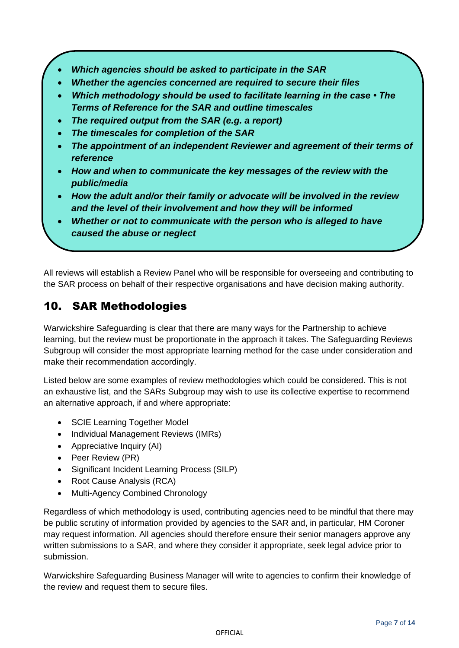- *Which agencies should be asked to participate in the SAR*
- *Whether the agencies concerned are required to secure their files*
- *Which methodology should be used to facilitate learning in the case The Terms of Reference for the SAR and outline timescales*
- *The required output from the SAR (e.g. a report)*
- *The timescales for completion of the SAR*
- *The appointment of an independent Reviewer and agreement of their terms of reference*
- *How and when to communicate the key messages of the review with the public/media*
- *How the adult and/or their family or advocate will be involved in the review and the level of their involvement and how they will be informed*
- *Whether or not to communicate with the person who is alleged to have caused the abuse or neglect*

All reviews will establish a Review Panel who will be responsible for overseeing and contributing to the SAR process on behalf of their respective organisations and have decision making authority.

#### 10. SAR Methodologies

Warwickshire Safeguarding is clear that there are many ways for the Partnership to achieve learning, but the review must be proportionate in the approach it takes. The Safeguarding Reviews Subgroup will consider the most appropriate learning method for the case under consideration and make their recommendation accordingly.

Listed below are some examples of review methodologies which could be considered. This is not an exhaustive list, and the SARs Subgroup may wish to use its collective expertise to recommend an alternative approach, if and where appropriate:

- SCIE Learning Together Model
- Individual Management Reviews (IMRs)
- Appreciative Inquiry (AI)
- Peer Review (PR)
- Significant Incident Learning Process (SILP)
- Root Cause Analysis (RCA)
- Multi-Agency Combined Chronology

Regardless of which methodology is used, contributing agencies need to be mindful that there may be public scrutiny of information provided by agencies to the SAR and, in particular, HM Coroner may request information. All agencies should therefore ensure their senior managers approve any written submissions to a SAR, and where they consider it appropriate, seek legal advice prior to submission.

Warwickshire Safeguarding Business Manager will write to agencies to confirm their knowledge of the review and request them to secure files.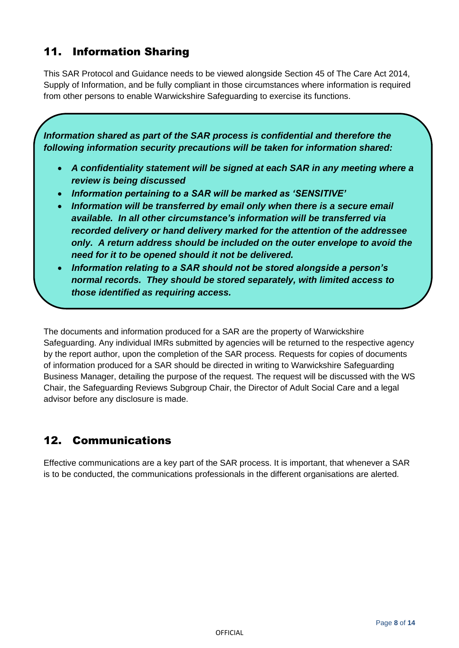# 11. Information Sharing

This SAR Protocol and Guidance needs to be viewed alongside Section 45 of The Care Act 2014, Supply of Information, and be fully compliant in those circumstances where information is required from other persons to enable Warwickshire Safeguarding to exercise its functions.

*Information shared as part of the SAR process is confidential and therefore the following information security precautions will be taken for information shared:*

- *A confidentiality statement will be signed at each SAR in any meeting where a review is being discussed*
- *Information pertaining to a SAR will be marked as 'SENSITIVE'*
- *Information will be transferred by email only when there is a secure email available. In all other circumstance's information will be transferred via recorded delivery or hand delivery marked for the attention of the addressee only. A return address should be included on the outer envelope to avoid the need for it to be opened should it not be delivered.*
- *Information relating to a SAR should not be stored alongside a person's normal records. They should be stored separately, with limited access to those identified as requiring access.*

The documents and information produced for a SAR are the property of Warwickshire Safeguarding. Any individual IMRs submitted by agencies will be returned to the respective agency by the report author, upon the completion of the SAR process. Requests for copies of documents of information produced for a SAR should be directed in writing to Warwickshire Safeguarding Business Manager, detailing the purpose of the request. The request will be discussed with the WS Chair, the Safeguarding Reviews Subgroup Chair, the Director of Adult Social Care and a legal advisor before any disclosure is made.

### 12. Communications

Effective communications are a key part of the SAR process. It is important, that whenever a SAR is to be conducted, the communications professionals in the different organisations are alerted.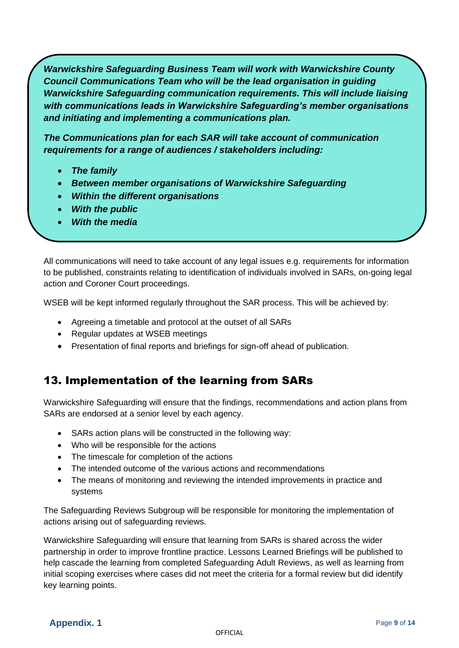*Warwickshire Safeguarding Business Team will work with Warwickshire County Council Communications Team who will be the lead organisation in guiding Warwickshire Safeguarding communication requirements. This will include liaising with communications leads in Warwickshire Safeguarding's member organisations and initiating and implementing a communications plan.* 

*The Communications plan for each SAR will take account of communication requirements for a range of audiences / stakeholders including:* 

- *The family*
- *Between member organisations of Warwickshire Safeguarding*
- *Within the different organisations*
- *With the public*
- *With the media*

All communications will need to take account of any legal issues e.g. requirements for information to be published, constraints relating to identification of individuals involved in SARs, on-going legal action and Coroner Court proceedings.

WSEB will be kept informed regularly throughout the SAR process. This will be achieved by:

- Agreeing a timetable and protocol at the outset of all SARs
- Regular updates at WSEB meetings
- Presentation of final reports and briefings for sign-off ahead of publication.

### 13. Implementation of the learning from SARs

Warwickshire Safeguarding will ensure that the findings, recommendations and action plans from SARs are endorsed at a senior level by each agency.

- SARs action plans will be constructed in the following way:
- Who will be responsible for the actions
- The timescale for completion of the actions
- The intended outcome of the various actions and recommendations
- The means of monitoring and reviewing the intended improvements in practice and systems

The Safeguarding Reviews Subgroup will be responsible for monitoring the implementation of actions arising out of safeguarding reviews.

Warwickshire Safeguarding will ensure that learning from SARs is shared across the wider partnership in order to improve frontline practice. Lessons Learned Briefings will be published to help cascade the learning from completed Safeguarding Adult Reviews, as well as learning from initial scoping exercises where cases did not meet the criteria for a formal review but did identify key learning points.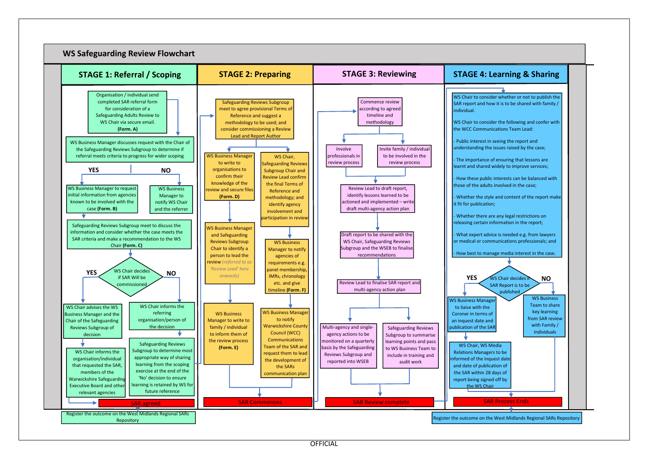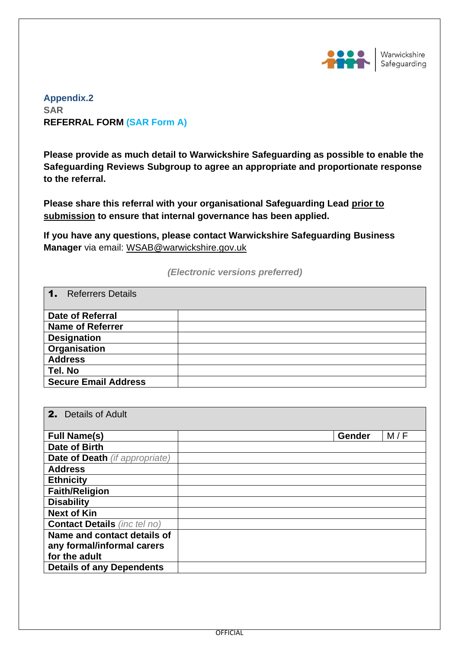

**Appendix.2 SAR REFERRAL FORM (SAR Form A)**

**Please provide as much detail to Warwickshire Safeguarding as possible to enable the Safeguarding Reviews Subgroup to agree an appropriate and proportionate response to the referral.** 

**Please share this referral with your organisational Safeguarding Lead prior to submission to ensure that internal governance has been applied.**

**If you have any questions, please contact Warwickshire Safeguarding Business Manager** via email: [WSAB@warwickshire.gov.uk](mailto:WSAB@warwickshire.gov.uk)

#### *(Electronic versions preferred)*

| <b>Referrers Details</b><br>$\mathbf 1$ . |  |
|-------------------------------------------|--|
| <b>Date of Referral</b>                   |  |
| <b>Name of Referrer</b>                   |  |
| <b>Designation</b>                        |  |
| Organisation                              |  |
| <b>Address</b>                            |  |
| Tel. No                                   |  |
| <b>Secure Email Address</b>               |  |

| <b>2.</b> Details of Adult            |               |
|---------------------------------------|---------------|
| <b>Full Name(s)</b>                   | M/F<br>Gender |
| Date of Birth                         |               |
| <b>Date of Death</b> (if appropriate) |               |
| <b>Address</b>                        |               |
| <b>Ethnicity</b>                      |               |
| <b>Faith/Religion</b>                 |               |
| <b>Disability</b>                     |               |
| <b>Next of Kin</b>                    |               |
| <b>Contact Details</b> (inc tel no)   |               |
| Name and contact details of           |               |
| any formal/informal carers            |               |
| for the adult                         |               |
| <b>Details of any Dependents</b>      |               |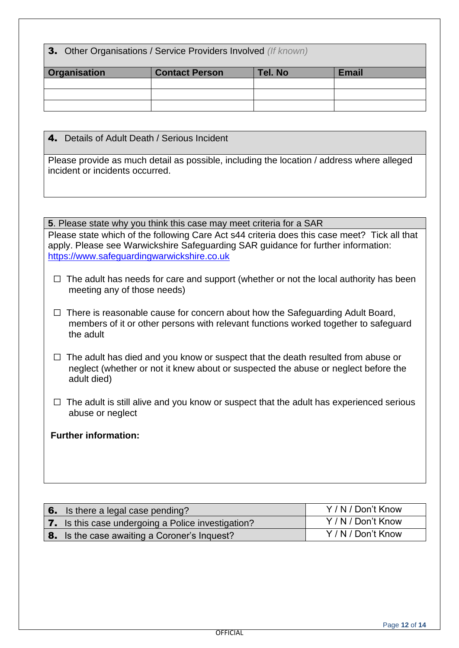3. Other Organisations / Service Providers Involved *(If known)*

| <b>Organisation</b> | <b>Contact Person</b> | Tel. No | <b>Email</b> |
|---------------------|-----------------------|---------|--------------|
|                     |                       |         |              |
|                     |                       |         |              |
|                     |                       |         |              |

4. Details of Adult Death / Serious Incident

Please provide as much detail as possible, including the location / address where alleged incident or incidents occurred.

**5**. Please state why you think this case may meet criteria for a SAR Please state which of the following Care Act s44 criteria does this case meet? Tick all that apply. Please see Warwickshire Safeguarding SAR guidance for further information: [https://www.safeguardingwarwickshire.co.uk](https://www.safeguardingwarwickshire.co.uk/)

- $\Box$  The adult has needs for care and support (whether or not the local authority has been meeting any of those needs)
- $\Box$  There is reasonable cause for concern about how the Safeguarding Adult Board, members of it or other persons with relevant functions worked together to safeguard the adult
- $\Box$  The adult has died and you know or suspect that the death resulted from abuse or neglect (whether or not it knew about or suspected the abuse or neglect before the adult died)
- $\Box$  The adult is still alive and you know or suspect that the adult has experienced serious abuse or neglect

#### **Further information:**

| $\,$ 6. Is there a legal case pending?                    | Y/N/Don't Know |
|-----------------------------------------------------------|----------------|
| <b>7.</b> Is this case undergoing a Police investigation? | Y/N/Don't Know |
| <b>8.</b> Is the case awaiting a Coroner's Inquest?       | Y/N/Don't Know |